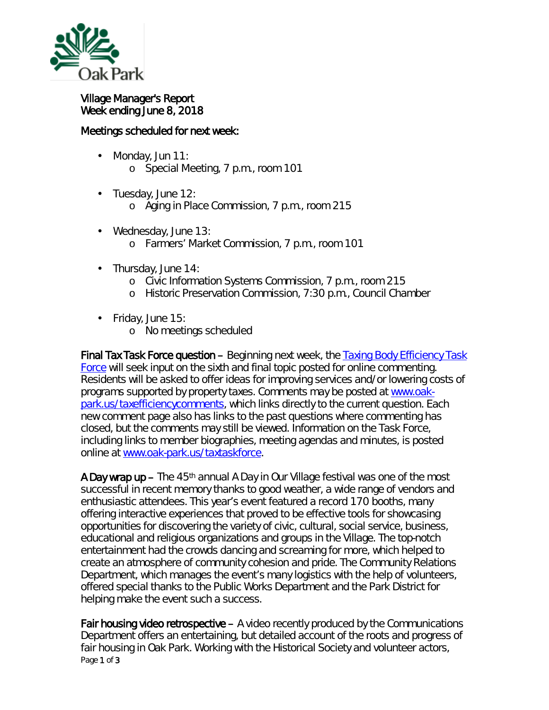

## Village Manager's Report Week ending June 8, 2018

## Meetings scheduled for next week:

- Monday, Jun 11: ä, o Special Meeting, 7 p.m., room 101
- ä, Tuesday, June 12: o Aging in Place Commission, 7 p.m., room 215
- Wednesday, June 13:  $\hat{\mathbf{r}}$ o Farmers' Market Commission, 7 p.m., room 101
- Thursday, June 14: t.
	- o Civic Information Systems Commission, 7 p.m., room 215
	- o Historic Preservation Commission, 7:30 p.m., Council Chamber
- Friday, June 15:
	- o No meetings scheduled

Final Tax Task Force question – Beginning next week, the [Taxing Body Efficiency Task](https://www.oak-park.us/your-government/village-board/taxing-body-efficiency-task-force)  [Force](https://www.oak-park.us/your-government/village-board/taxing-body-efficiency-task-force) will seek input on the sixth and final topic posted for online commenting. Residents will be asked to offer ideas for improving services and/or lowering costs of programs supported by property taxes. Comments may be posted at [www.oak](http://mxrelay.oak-park.us:32224/?dmVyPTEuMDAxJiY4ZTg4NzFlMjViMzQ3YmI4OD01QUY5Rjk3Nl8yNDU5OF8yOTlfMSYmMzZlY2YwNzViYTVkNmE4PTEyMzMmJnVybD1odHRwJTNBJTJGJTJGcjIwJTJFcnM2JTJFbmV0JTJGdG4lMkVqc3AlM0Z0JTNEOGZqdnI1N2FiJTJFMCUyRTAlMkVxZGNsbG1tYWIlMkUwJTI2aWQlM0RwcmV2aWV3JTI2ciUzRDMlMjZwJTNEaHR0cCUyNTNBJTI1MkYlMjUyRnd3dyUyRW9hay1wYXJrJTJFdXMlMjUyRnRheGVmZmljaWVuY3ljb21tZW50cw==)[park.us/taxefficiencycomments,](http://mxrelay.oak-park.us:32224/?dmVyPTEuMDAxJiY4ZTg4NzFlMjViMzQ3YmI4OD01QUY5Rjk3Nl8yNDU5OF8yOTlfMSYmMzZlY2YwNzViYTVkNmE4PTEyMzMmJnVybD1odHRwJTNBJTJGJTJGcjIwJTJFcnM2JTJFbmV0JTJGdG4lMkVqc3AlM0Z0JTNEOGZqdnI1N2FiJTJFMCUyRTAlMkVxZGNsbG1tYWIlMkUwJTI2aWQlM0RwcmV2aWV3JTI2ciUzRDMlMjZwJTNEaHR0cCUyNTNBJTI1MkYlMjUyRnd3dyUyRW9hay1wYXJrJTJFdXMlMjUyRnRheGVmZmljaWVuY3ljb21tZW50cw==) which links directly to the current question. Each new comment page also has links to the past questions where commenting has closed, but the comments may still be viewed. Information on the Task Force, including links to member biographies, meeting agendas and minutes, is posted online at [www.oak-park.us/taxtaskforce.](http://www.oak-park.us/taxtaskforce)

A Day wrap up – The 45<sup>th</sup> annual A Day in Our Village festival was one of the most successful in recent memory thanks to good weather, a wide range of vendors and enthusiastic attendees. This year's event featured a record 170 booths, many offering interactive experiences that proved to be effective tools for showcasing opportunities for discovering the variety of civic, cultural, social service, business, educational and religious organizations and groups in the Village. The top-notch entertainment had the crowds dancing and screaming for more, which helped to create an atmosphere of community cohesion and pride. The Community Relations Department, which manages the event's many logistics with the help of volunteers, offered special thanks to the Public Works Department and the Park District for helping make the event such a success.

Page 1 of 3 Fair housing video retrospective – A video recently produced by the Communications Department offers an entertaining, but detailed account of the roots and progress of fair housing in Oak Park. Working with the Historical Society and volunteer actors,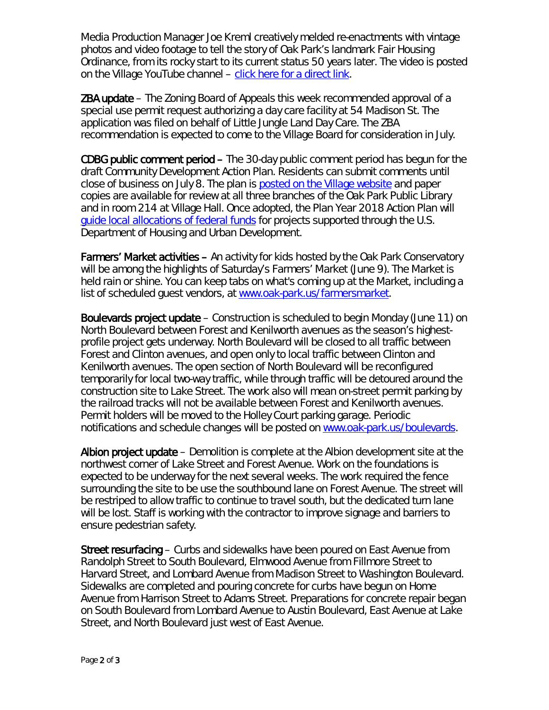Media Production Manager Joe Kreml creatively melded re-enactments with vintage photos and video footage to tell the story of Oak Park's landmark Fair Housing Ordinance, from its rocky start to its current status 50 years later. The video is posted on the Village YouTube channel - [click here for a direct link.](https://youtu.be/VV3GhPSgnK8)

**ZBA update** – The Zoning Board of Appeals this week recommended approval of a special use permit request authorizing a day care facility at 54 Madison St. The application was filed on behalf of Little Jungle Land Day Care. The ZBA recommendation is expected to come to the Village Board for consideration in July.

CDBG public comment period – The 30-day public comment period has begun for the draft Community Development Action Plan. Residents can submit comments until close of business on July 8. The plan is [posted on the Village website](https://www.oak-park.us/sites/default/files/housing/draft_py_2018_action_plan.pdf) and paper copies are available for review at all three branches of the Oak Park Public Library and in room 214 at Village Hall. Once adopted, the Plan Year 2018 Action Plan will [guide local allocations of federal funds](https://www.oak-park.us/village-services/housing-programs/community-development-shelter-grants) for projects supported through the U.S. Department of Housing and Urban Development.

Farmers' Market activities – An activity for kids hosted by the Oak Park Conservatory will be among the highlights of Saturday's Farmers' Market (June 9). The Market is held rain or shine. You can keep tabs on what's coming up at the Market, including a list of scheduled guest vendors, at [www.oak-park.us/farmersmarket.](http://www.oak-park.us/farmersmarket)

Boulevards project update – Construction is scheduled to begin Monday (June 11) on North Boulevard between Forest and Kenilworth avenues as the season's highestprofile project gets underway. North Boulevard will be closed to all traffic between Forest and Clinton avenues, and open only to local traffic between Clinton and Kenilworth avenues. The open section of North Boulevard will be reconfigured temporarily for local two-way traffic, while through traffic will be detoured around the construction site to Lake Street. The work also will mean on-street permit parking by the railroad tracks will not be available between Forest and Kenilworth avenues. Permit holders will be moved to the Holley Court parking garage. Periodic notifications and schedule changes will be posted on [www.oak-park.us/boulevards.](http://www.oak-park.us/boulevards)

Albion project update – Demolition is complete at the Albion development site at the northwest corner of Lake Street and Forest Avenue. Work on the foundations is expected to be underway for the next several weeks. The work required the fence surrounding the site to be use the southbound lane on Forest Avenue. The street will be restriped to allow traffic to continue to travel south, but the dedicated turn lane will be lost. Staff is working with the contractor to improve signage and barriers to ensure pedestrian safety.

Street resurfacing – Curbs and sidewalks have been poured on East Avenue from Randolph Street to South Boulevard, Elmwood Avenue from Fillmore Street to Harvard Street, and Lombard Avenue from Madison Street to Washington Boulevard. Sidewalks are completed and pouring concrete for curbs have begun on Home Avenue from Harrison Street to Adams Street. Preparations for concrete repair began on South Boulevard from Lombard Avenue to Austin Boulevard, East Avenue at Lake Street, and North Boulevard just west of East Avenue.